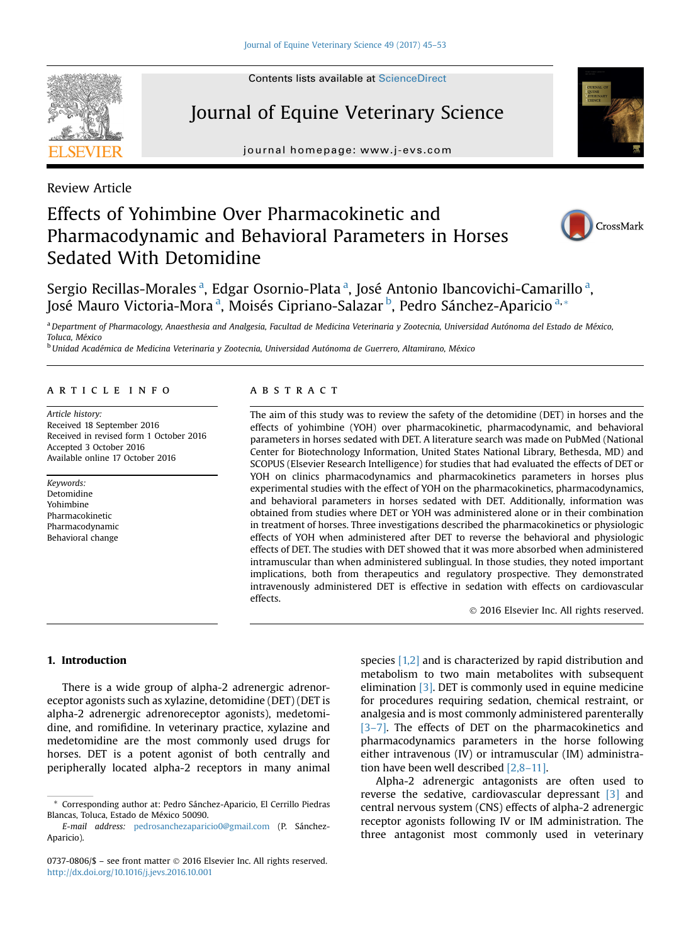# Journal of Equine Veterinary Science

journal homepage: [www.j-evs.com](http://www.j-evs.com)

Review Article

## Effects of Yohimbine Over Pharmacokinetic and Pharmacodynamic and Behavioral Parameters in Horses Sedated With Detomidine



CrossMark

Sergio Recillas-Morales<sup>a</sup>, Edgar Osornio-Plata<sup>a</sup>, José Antonio Ibancovichi-Camarillo<sup>a</sup>, José Mauro Victoria-Mora <sup>a</sup>, Moisés Cipriano-Salazar <sup>b</sup>, Pedro Sánchez-Aparicio <sup>a,</sup> \*

a Department of Pharmacology, Anaesthesia and Analgesia, Facultad de Medicina Veterinaria y Zootecnia, Universidad Autónoma del Estado de México, Toluca, México

<sup>b</sup> Unidad Académica de Medicina Veterinaria y Zootecnia, Universidad Autónoma de Guerrero, Altamirano, México

#### article info

Article history: Received 18 September 2016 Received in revised form 1 October 2016 Accepted 3 October 2016 Available online 17 October 2016

Keywords: Detomidine Yohimbine Pharmacokinetic Pharmacodynamic Behavioral change

## **ABSTRACT**

The aim of this study was to review the safety of the detomidine (DET) in horses and the effects of yohimbine (YOH) over pharmacokinetic, pharmacodynamic, and behavioral parameters in horses sedated with DET. A literature search was made on PubMed (National Center for Biotechnology Information, United States National Library, Bethesda, MD) and SCOPUS (Elsevier Research Intelligence) for studies that had evaluated the effects of DET or YOH on clinics pharmacodynamics and pharmacokinetics parameters in horses plus experimental studies with the effect of YOH on the pharmacokinetics, pharmacodynamics, and behavioral parameters in horses sedated with DET. Additionally, information was obtained from studies where DET or YOH was administered alone or in their combination in treatment of horses. Three investigations described the pharmacokinetics or physiologic effects of YOH when administered after DET to reverse the behavioral and physiologic effects of DET. The studies with DET showed that it was more absorbed when administered intramuscular than when administered sublingual. In those studies, they noted important implications, both from therapeutics and regulatory prospective. They demonstrated intravenously administered DET is effective in sedation with effects on cardiovascular effects.

2016 Elsevier Inc. All rights reserved.

### 1. Introduction

There is a wide group of alpha-2 adrenergic adrenoreceptor agonists such as xylazine, detomidine (DET) (DET is alpha-2 adrenergic adrenoreceptor agonists), medetomidine, and romifidine. In veterinary practice, xylazine and medetomidine are the most commonly used drugs for horses. DET is a potent agonist of both centrally and peripherally located alpha-2 receptors in many animal species [\[1,2\]](#page-7-0) and is characterized by rapid distribution and metabolism to two main metabolites with subsequent elimination [\[3\]](#page-7-0). DET is commonly used in equine medicine for procedures requiring sedation, chemical restraint, or analgesia and is most commonly administered parenterally [3–[7\]](#page-7-0). The effects of DET on the pharmacokinetics and pharmacodynamics parameters in the horse following either intravenous (IV) or intramuscular (IM) administration have been well described [\[2,8](#page-7-0)–11].

Alpha-2 adrenergic antagonists are often used to reverse the sedative, cardiovascular depressant [\[3\]](#page-7-0) and central nervous system (CNS) effects of alpha-2 adrenergic receptor agonists following IV or IM administration. The three antagonist most commonly used in veterinary



<sup>\*</sup> Corresponding author at: Pedro Sánchez-Aparicio, El Cerrillo Piedras Blancas, Toluca, Estado de México 50090.

E-mail address: [pedrosanchezaparicio0@gmail.com](mailto:pedrosanchezaparicio0@gmail.com) (P. Sánchez-Aparicio).

<sup>0737-0806/\$ -</sup> see front matter © 2016 Elsevier Inc. All rights reserved. <http://dx.doi.org/10.1016/j.jevs.2016.10.001>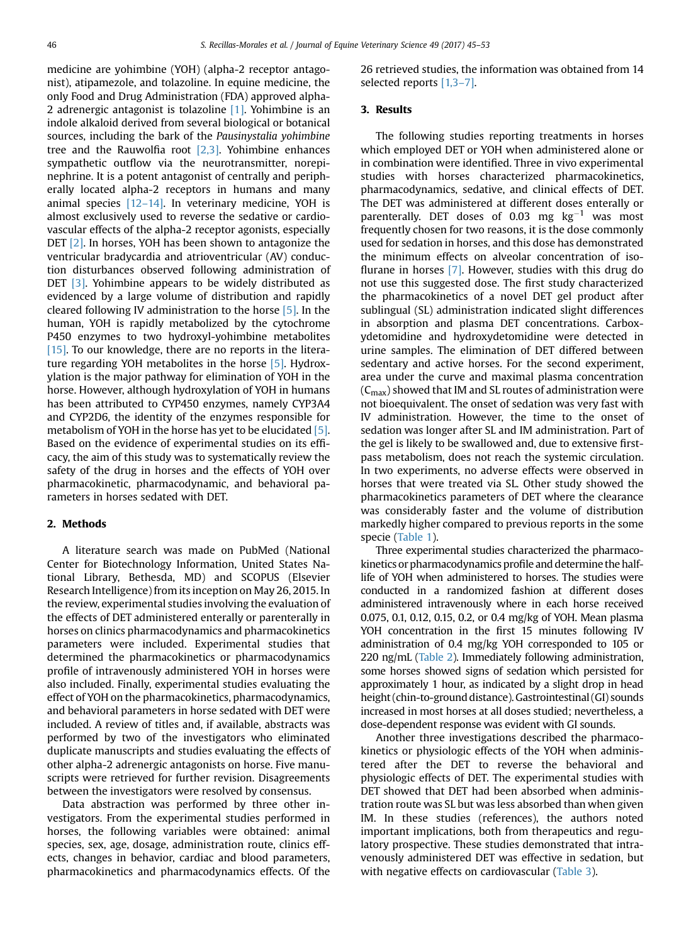medicine are yohimbine (YOH) (alpha-2 receptor antagonist), atipamezole, and tolazoline. In equine medicine, the only Food and Drug Administration (FDA) approved alpha-2 adrenergic antagonist is tolazoline [\[1\].](#page-7-0) Yohimbine is an indole alkaloid derived from several biological or botanical sources, including the bark of the Pausinystalia yohimbine tree and the Rauwolfia root [\[2,3\]](#page-7-0). Yohimbine enhances sympathetic outflow via the neurotransmitter, norepinephrine. It is a potent antagonist of centrally and peripherally located alpha-2 receptors in humans and many animal species  $[12-14]$ . In veterinary medicine, YOH is almost exclusively used to reverse the sedative or cardiovascular effects of the alpha-2 receptor agonists, especially DET [\[2\]](#page-7-0). In horses, YOH has been shown to antagonize the ventricular bradycardia and atrioventricular (AV) conduction disturbances observed following administration of DET [\[3\].](#page-7-0) Yohimbine appears to be widely distributed as evidenced by a large volume of distribution and rapidly cleared following IV administration to the horse [\[5\].](#page-7-0) In the human, YOH is rapidly metabolized by the cytochrome P450 enzymes to two hydroxyl-yohimbine metabolites [\[15\].](#page-7-0) To our knowledge, there are no reports in the literature regarding YOH metabolites in the horse [\[5\].](#page-7-0) Hydroxylation is the major pathway for elimination of YOH in the horse. However, although hydroxylation of YOH in humans has been attributed to CYP450 enzymes, namely CYP3A4 and CYP2D6, the identity of the enzymes responsible for metabolism of YOH in the horse has yet to be elucidated [\[5\]](#page-7-0). Based on the evidence of experimental studies on its efficacy, the aim of this study was to systematically review the safety of the drug in horses and the effects of YOH over pharmacokinetic, pharmacodynamic, and behavioral parameters in horses sedated with DET.

#### 2. Methods

A literature search was made on PubMed (National Center for Biotechnology Information, United States National Library, Bethesda, MD) and SCOPUS (Elsevier Research Intelligence) from its inception on May 26, 2015. In the review, experimental studies involving the evaluation of the effects of DET administered enterally or parenterally in horses on clinics pharmacodynamics and pharmacokinetics parameters were included. Experimental studies that determined the pharmacokinetics or pharmacodynamics profile of intravenously administered YOH in horses were also included. Finally, experimental studies evaluating the effect of YOH on the pharmacokinetics, pharmacodynamics, and behavioral parameters in horse sedated with DET were included. A review of titles and, if available, abstracts was performed by two of the investigators who eliminated duplicate manuscripts and studies evaluating the effects of other alpha-2 adrenergic antagonists on horse. Five manuscripts were retrieved for further revision. Disagreements between the investigators were resolved by consensus.

Data abstraction was performed by three other investigators. From the experimental studies performed in horses, the following variables were obtained: animal species, sex, age, dosage, administration route, clinics effects, changes in behavior, cardiac and blood parameters, pharmacokinetics and pharmacodynamics effects. Of the

26 retrieved studies, the information was obtained from 14 selected reports [\[1,3](#page-7-0)–7].

#### 3. Results

The following studies reporting treatments in horses which employed DET or YOH when administered alone or in combination were identified. Three in vivo experimental studies with horses characterized pharmacokinetics, pharmacodynamics, sedative, and clinical effects of DET. The DET was administered at different doses enterally or parenterally. DET doses of 0.03 mg  $kg^{-1}$  was most frequently chosen for two reasons, it is the dose commonly used for sedation in horses, and this dose has demonstrated the minimum effects on alveolar concentration of isoflurane in horses [\[7\].](#page-7-0) However, studies with this drug do not use this suggested dose. The first study characterized the pharmacokinetics of a novel DET gel product after sublingual (SL) administration indicated slight differences in absorption and plasma DET concentrations. Carboxydetomidine and hydroxydetomidine were detected in urine samples. The elimination of DET differed between sedentary and active horses. For the second experiment, area under the curve and maximal plasma concentration  $(C_{\text{max}})$  showed that IM and SL routes of administration were not bioequivalent. The onset of sedation was very fast with IV administration. However, the time to the onset of sedation was longer after SL and IM administration. Part of the gel is likely to be swallowed and, due to extensive firstpass metabolism, does not reach the systemic circulation. In two experiments, no adverse effects were observed in horses that were treated via SL. Other study showed the pharmacokinetics parameters of DET where the clearance was considerably faster and the volume of distribution markedly higher compared to previous reports in the some specie ([Table 1\)](#page-2-0).

Three experimental studies characterized the pharmacokinetics or pharmacodynamics profile and determine the halflife of YOH when administered to horses. The studies were conducted in a randomized fashion at different doses administered intravenously where in each horse received 0.075, 0.1, 0.12, 0.15, 0.2, or 0.4 mg/kg of YOH. Mean plasma YOH concentration in the first 15 minutes following IV administration of 0.4 mg/kg YOH corresponded to 105 or 220 ng/mL [\(Table 2\)](#page-3-0). Immediately following administration, some horses showed signs of sedation which persisted for approximately 1 hour, as indicated by a slight drop in head height (chin-to-ground distance). Gastrointestinal (GI) sounds increased in most horses at all doses studied; nevertheless, a dose-dependent response was evident with GI sounds.

Another three investigations described the pharmacokinetics or physiologic effects of the YOH when administered after the DET to reverse the behavioral and physiologic effects of DET. The experimental studies with DET showed that DET had been absorbed when administration route was SL but was less absorbed than when given IM. In these studies (references), the authors noted important implications, both from therapeutics and regulatory prospective. These studies demonstrated that intravenously administered DET was effective in sedation, but with negative effects on cardiovascular [\(Table 3](#page-5-0)).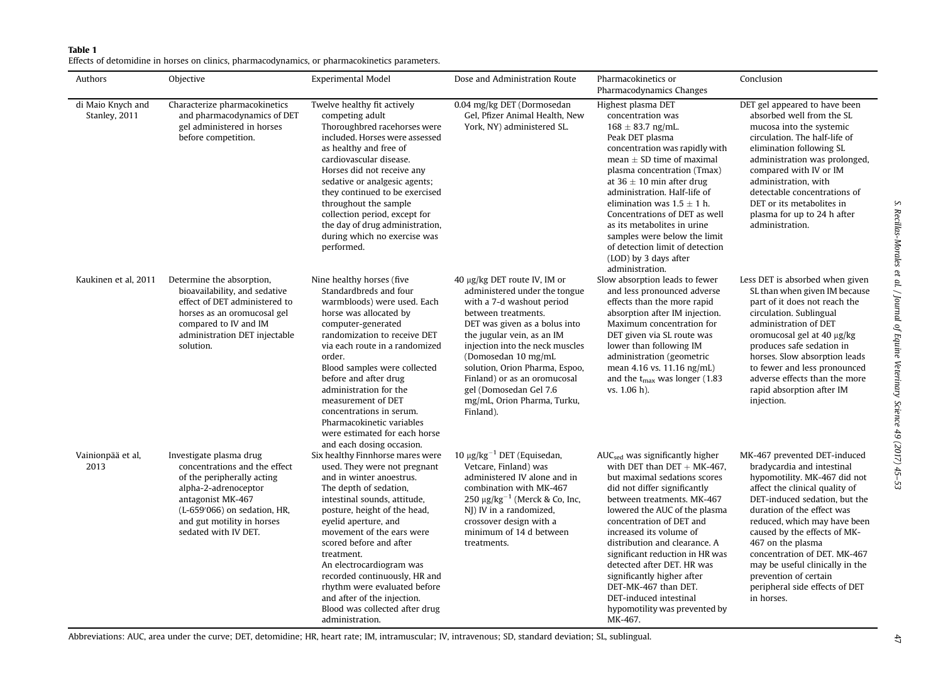### <span id="page-2-0"></span>Table 1

Effects of detomidine in horses on clinics, pharmacodynamics, or pharmacokinetics parameters.

| Authors                            | Objective                                                                                                                                                                                                                 | <b>Experimental Model</b>                                                                                                                                                                                                                                                                                                                                                                                                                                             | Dose and Administration Route                                                                                                                                                                                                                                                                                                                                                      | Pharmacokinetics or<br>Pharmacodynamics Changes                                                                                                                                                                                                                                                                                                                                                                                                                                         | Conclusion                                                                                                                                                                                                                                                                                                                                                                                                                   |
|------------------------------------|---------------------------------------------------------------------------------------------------------------------------------------------------------------------------------------------------------------------------|-----------------------------------------------------------------------------------------------------------------------------------------------------------------------------------------------------------------------------------------------------------------------------------------------------------------------------------------------------------------------------------------------------------------------------------------------------------------------|------------------------------------------------------------------------------------------------------------------------------------------------------------------------------------------------------------------------------------------------------------------------------------------------------------------------------------------------------------------------------------|-----------------------------------------------------------------------------------------------------------------------------------------------------------------------------------------------------------------------------------------------------------------------------------------------------------------------------------------------------------------------------------------------------------------------------------------------------------------------------------------|------------------------------------------------------------------------------------------------------------------------------------------------------------------------------------------------------------------------------------------------------------------------------------------------------------------------------------------------------------------------------------------------------------------------------|
| di Maio Knych and<br>Stanley, 2011 | Characterize pharmacokinetics<br>and pharmacodynamics of DET<br>gel administered in horses<br>before competition.                                                                                                         | Twelve healthy fit actively<br>competing adult<br>Thoroughbred racehorses were<br>included. Horses were assessed<br>as healthy and free of<br>cardiovascular disease.<br>Horses did not receive any<br>sedative or analgesic agents;<br>they continued to be exercised<br>throughout the sample<br>collection period, except for<br>the day of drug administration,<br>during which no exercise was<br>performed.                                                     | 0.04 mg/kg DET (Dormosedan<br>Gel, Pfizer Animal Health, New<br>York, NY) administered SL.                                                                                                                                                                                                                                                                                         | Highest plasma DET<br>concentration was<br>$168 \pm 83.7$ ng/mL.<br>Peak DET plasma<br>concentration was rapidly with<br>mean $\pm$ SD time of maximal<br>plasma concentration (Tmax)<br>at 36 $\pm$ 10 min after drug<br>administration. Half-life of<br>elimination was $1.5 \pm 1$ h.<br>Concentrations of DET as well<br>as its metabolites in urine<br>samples were below the limit<br>of detection limit of detection<br>(LOD) by 3 days after<br>administration.                 | DET gel appeared to have been<br>absorbed well from the SL<br>mucosa into the systemic<br>circulation. The half-life of<br>elimination following SL<br>administration was prolonged,<br>compared with IV or IM<br>administration, with<br>detectable concentrations of<br>DET or its metabolites in<br>plasma for up to 24 h after<br>administration.                                                                        |
| Kaukinen et al. 2011               | Determine the absorption,<br>bioavailability, and sedative<br>effect of DET administered to<br>horses as an oromucosal gel<br>compared to IV and IM<br>administration DET injectable<br>solution.                         | Nine healthy horses (five<br>Standardbreds and four<br>warmbloods) were used. Each<br>horse was allocated by<br>computer-generated<br>randomization to receive DET<br>via each route in a randomized<br>order.<br>Blood samples were collected<br>before and after drug<br>administration for the<br>measurement of DET<br>concentrations in serum.<br>Pharmacokinetic variables<br>were estimated for each horse<br>and each dosing occasion.                        | 40 μg/kg DET route IV, IM or<br>administered under the tongue<br>with a 7-d washout period<br>between treatments.<br>DET was given as a bolus into<br>the jugular vein, as an IM<br>injection into the neck muscles<br>(Domosedan 10 mg/mL<br>solution, Orion Pharma, Espoo,<br>Finland) or as an oromucosal<br>gel (Domosedan Gel 7.6<br>mg/mL, Orion Pharma, Turku,<br>Finland). | Slow absorption leads to fewer<br>and less pronounced adverse<br>effects than the more rapid<br>absorption after IM injection.<br>Maximum concentration for<br>DET given via SL route was<br>lower than following IM<br>administration (geometric<br>mean 4.16 vs. 11.16 ng/mL)<br>and the $t_{\text{max}}$ was longer (1.83<br>vs. 1.06 h.                                                                                                                                             | Less DET is absorbed when given<br>SL than when given IM because<br>part of it does not reach the<br>circulation. Sublingual<br>administration of DET<br>oromucosal gel at 40 µg/kg<br>produces safe sedation in<br>horses. Slow absorption leads<br>to fewer and less pronounced<br>adverse effects than the more<br>rapid absorption after IM<br>injection.                                                                |
| Vainionpää et al,<br>2013          | Investigate plasma drug<br>concentrations and the effect<br>of the peripherally acting<br>alpha-2-adrenoceptor<br>antagonist MK-467<br>(L-659'066) on sedation, HR,<br>and gut motility in horses<br>sedated with IV DET. | Six healthy Finnhorse mares were<br>used. They were not pregnant<br>and in winter anoestrus.<br>The depth of sedation,<br>intestinal sounds, attitude,<br>posture, height of the head,<br>eyelid aperture, and<br>movement of the ears were<br>scored before and after<br>treatment.<br>An electrocardiogram was<br>recorded continuously, HR and<br>rhythm were evaluated before<br>and after of the injection.<br>Blood was collected after drug<br>administration. | 10 μg/kg <sup>-1</sup> DET (Equisedan,<br>Vetcare, Finland) was<br>administered IV alone and in<br>combination with MK-467<br>$250 \mu g/kg^{-1}$ (Merck & Co, Inc,<br>NJ) IV in a randomized,<br>crossover design with a<br>minimum of 14 d between<br>treatments.                                                                                                                | $AUCsed$ was significantly higher<br>with DET than $DET + MK-467$ .<br>but maximal sedations scores<br>did not differ significantly<br>between treatments, MK-467<br>lowered the AUC of the plasma<br>concentration of DET and<br>increased its volume of<br>distribution and clearance. A<br>significant reduction in HR was<br>detected after DET. HR was<br>significantly higher after<br>DET-MK-467 than DET.<br>DET-induced intestinal<br>hypomotility was prevented by<br>MK-467. | MK-467 prevented DET-induced<br>bradycardia and intestinal<br>hypomotility. MK-467 did not<br>affect the clinical quality of<br>DET-induced sedation, but the<br>duration of the effect was<br>reduced, which may have been<br>caused by the effects of MK-<br>467 on the plasma<br>concentration of DET. MK-467<br>may be useful clinically in the<br>prevention of certain<br>peripheral side effects of DET<br>in horses. |

Abbreviations: AUC, area under the curve; DET, detomidine; HR, heart rate; IM, intramuscular; IV, intravenous; SD, standard deviation; SL, sublingual.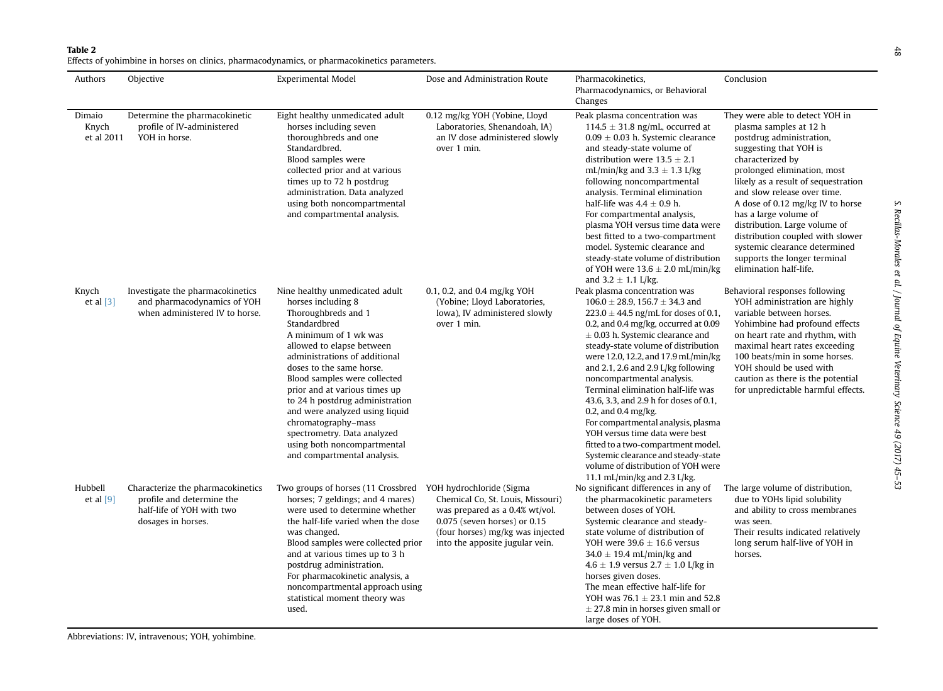#### <span id="page-3-0"></span>Table 2

Effects of yohimbine in horses on clinics, pharmacodynamics, or pharmacokinetics parameters.

| Authors                       | Objective                                                                                                         | <b>Experimental Model</b>                                                                                                                                                                                                                                                                                                                                                                                                                                                | Dose and Administration Route                                                                                                                                                  | Pharmacokinetics,<br>Pharmacodynamics, or Behavioral<br>Changes                                                                                                                                                                                                                                                                                                                                                                                                                                                                                                                                                                                                                             | Conclusion                                                                                                                                                                                                                                                                                                                                                                                                                                                            |
|-------------------------------|-------------------------------------------------------------------------------------------------------------------|--------------------------------------------------------------------------------------------------------------------------------------------------------------------------------------------------------------------------------------------------------------------------------------------------------------------------------------------------------------------------------------------------------------------------------------------------------------------------|--------------------------------------------------------------------------------------------------------------------------------------------------------------------------------|---------------------------------------------------------------------------------------------------------------------------------------------------------------------------------------------------------------------------------------------------------------------------------------------------------------------------------------------------------------------------------------------------------------------------------------------------------------------------------------------------------------------------------------------------------------------------------------------------------------------------------------------------------------------------------------------|-----------------------------------------------------------------------------------------------------------------------------------------------------------------------------------------------------------------------------------------------------------------------------------------------------------------------------------------------------------------------------------------------------------------------------------------------------------------------|
| Dimaio<br>Knych<br>et al 2011 | Determine the pharmacokinetic<br>profile of IV-administered<br>YOH in horse.                                      | Eight healthy unmedicated adult<br>horses including seven<br>thoroughbreds and one<br>Standardbred.<br>Blood samples were<br>collected prior and at various<br>times up to 72 h postdrug<br>administration. Data analyzed<br>using both noncompartmental<br>and compartmental analysis.                                                                                                                                                                                  | 0.12 mg/kg YOH (Yobine, Lloyd<br>Laboratories, Shenandoah, IA)<br>an IV dose administered slowly<br>over 1 min.                                                                | Peak plasma concentration was<br>$114.5 \pm 31.8$ ng/mL, occurred at<br>$0.09 \pm 0.03$ h. Systemic clearance<br>and steady-state volume of<br>distribution were $13.5 \pm 2.1$<br>mL/min/kg and $3.3 \pm 1.3$ L/kg<br>following noncompartmental<br>analysis. Terminal elimination<br>half-life was $4.4 \pm 0.9$ h.<br>For compartmental analysis,<br>plasma YOH versus time data were<br>best fitted to a two-compartment<br>model. Systemic clearance and<br>steady-state volume of distribution<br>of YOH were $13.6 \pm 2.0$ mL/min/kg<br>and $3.2 \pm 1.1$ L/kg.                                                                                                                     | They were able to detect YOH in<br>plasma samples at 12 h<br>postdrug administration,<br>suggesting that YOH is<br>characterized by<br>prolonged elimination, most<br>likely as a result of sequestration<br>and slow release over time.<br>A dose of 0.12 mg/kg IV to horse<br>has a large volume of<br>distribution. Large volume of<br>distribution coupled with slower<br>systemic clearance determined<br>supports the longer terminal<br>elimination half-life. |
| Knych<br>et al $[3]$          | Investigate the pharmacokinetics<br>and pharmacodynamics of YOH<br>when administered IV to horse.                 | Nine healthy unmedicated adult<br>horses including 8<br>Thoroughbreds and 1<br>Standardbred<br>A minimum of 1 wk was<br>allowed to elapse between<br>administrations of additional<br>doses to the same horse.<br>Blood samples were collected<br>prior and at various times up<br>to 24 h postdrug administration<br>and were analyzed using liquid<br>chromatography-mass<br>spectrometry. Data analyzed<br>using both noncompartmental<br>and compartmental analysis. | 0.1, 0.2, and 0.4 mg/kg YOH<br>(Yobine; Lloyd Laboratories,<br>Iowa), IV administered slowly<br>over 1 min.                                                                    | Peak plasma concentration was<br>$106.0 \pm 28.9$ , 156.7 $\pm$ 34.3 and<br>$223.0 \pm 44.5$ ng/mL for doses of 0.1,<br>0.2, and 0.4 mg/kg, occurred at 0.09<br>$\pm$ 0.03 h. Systemic clearance and<br>steady-state volume of distribution<br>were 12.0, 12.2, and 17.9 mL/min/kg<br>and 2.1, 2.6 and 2.9 $L/kg$ following<br>noncompartmental analysis.<br>Terminal elimination half-life was<br>43.6, 3.3, and 2.9 h for doses of 0.1,<br>0.2, and 0.4 mg/kg.<br>For compartmental analysis, plasma<br>YOH versus time data were best<br>fitted to a two-compartment model.<br>Systemic clearance and steady-state<br>volume of distribution of YOH were<br>11.1 mL/min/kg and 2.3 L/kg. | Behavioral responses following<br>YOH administration are highly<br>variable between horses.<br>Yohimbine had profound effects<br>on heart rate and rhythm, with<br>maximal heart rates exceeding<br>100 beats/min in some horses.<br>YOH should be used with<br>caution as there is the potential<br>for unpredictable harmful effects.                                                                                                                               |
| Hubbell<br>et al $[9]$        | Characterize the pharmacokinetics<br>profile and determine the<br>half-life of YOH with two<br>dosages in horses. | Two groups of horses (11 Crossbred YOH hydrochloride (Sigma<br>horses; 7 geldings; and 4 mares)<br>were used to determine whether<br>the half-life varied when the dose<br>was changed.<br>Blood samples were collected prior<br>and at various times up to 3 h<br>postdrug administration.<br>For pharmacokinetic analysis, a<br>noncompartmental approach using<br>statistical moment theory was<br>used.                                                              | Chemical Co, St. Louis, Missouri)<br>was prepared as a 0.4% wt/vol.<br>$0.075$ (seven horses) or $0.15$<br>(four horses) mg/kg was injected<br>into the apposite jugular vein. | No significant differences in any of<br>the pharmacokinetic parameters<br>between doses of YOH.<br>Systemic clearance and steady-<br>state volume of distribution of<br>YOH were $39.6 \pm 16.6$ versus<br>34.0 $\pm$ 19.4 mL/min/kg and<br>$4.6 \pm 1.9$ versus $2.7 \pm 1.0$ L/kg in<br>horses given doses.<br>The mean effective half-life for<br>YOH was $76.1 \pm 23.1$ min and 52.8<br>$\pm$ 27.8 min in horses given small or<br>large doses of YOH.                                                                                                                                                                                                                                 | The large volume of distribution,<br>due to YOHs lipid solubility<br>and ability to cross membranes<br>was seen.<br>Their results indicated relatively<br>long serum half-live of YOH in<br>horses.                                                                                                                                                                                                                                                                   |

S. Recillas-Morales et al. / Journal of Equine Veterinary Science 49 (2017) 45 S. Recillas-Morales et al. / Journal of Equine Veterinary Science 49 (2017) 45-53 48 (2017) 45-53 S. Recitalidas-Morgles et al. / Journal of Equine Veterinary Science 49 (2017)

 $48\,$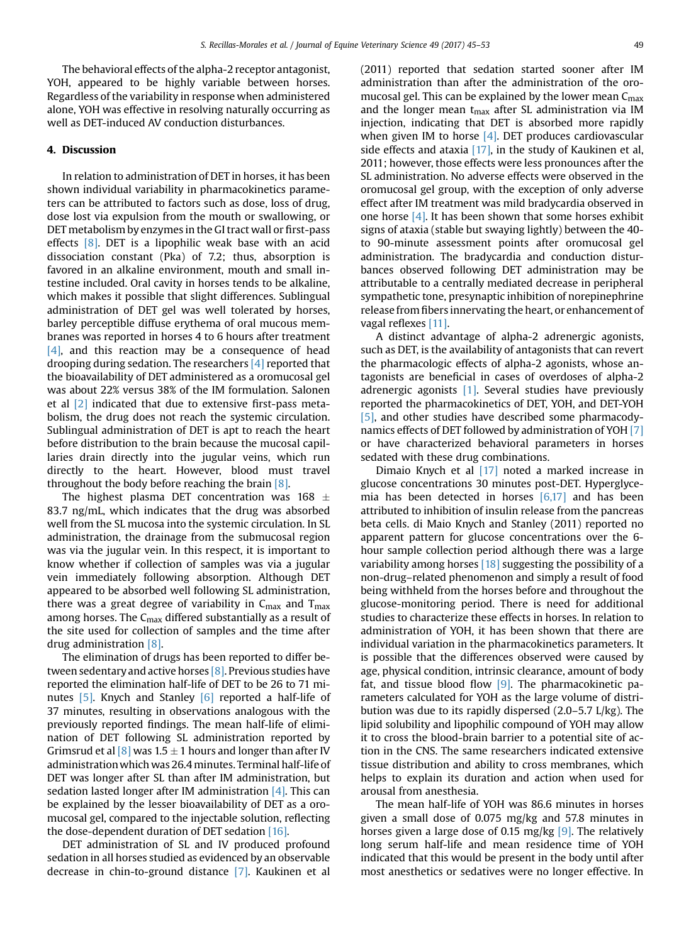The behavioral effects of the alpha-2 receptor antagonist, YOH, appeared to be highly variable between horses. Regardless of the variability in response when administered alone, YOH was effective in resolving naturally occurring as well as DET-induced AV conduction disturbances.

#### 4. Discussion

In relation to administration of DET in horses, it has been shown individual variability in pharmacokinetics parameters can be attributed to factors such as dose, loss of drug, dose lost via expulsion from the mouth or swallowing, or DET metabolism by enzymes in the GI tract wall or first-pass effects  $[8]$ . DET is a lipophilic weak base with an acid dissociation constant (Pka) of 7.2; thus, absorption is favored in an alkaline environment, mouth and small intestine included. Oral cavity in horses tends to be alkaline, which makes it possible that slight differences. Sublingual administration of DET gel was well tolerated by horses, barley perceptible diffuse erythema of oral mucous membranes was reported in horses 4 to 6 hours after treatment  $[4]$ , and this reaction may be a consequence of head drooping during sedation. The researchers [\[4\]](#page-7-0) reported that the bioavailability of DET administered as a oromucosal gel was about 22% versus 38% of the IM formulation. Salonen et al [\[2\]](#page-7-0) indicated that due to extensive first-pass metabolism, the drug does not reach the systemic circulation. Sublingual administration of DET is apt to reach the heart before distribution to the brain because the mucosal capillaries drain directly into the jugular veins, which run directly to the heart. However, blood must travel throughout the body before reaching the brain [\[8\]](#page-7-0).

The highest plasma DET concentration was 168  $\pm$ 83.7 ng/mL, which indicates that the drug was absorbed well from the SL mucosa into the systemic circulation. In SL administration, the drainage from the submucosal region was via the jugular vein. In this respect, it is important to know whether if collection of samples was via a jugular vein immediately following absorption. Although DET appeared to be absorbed well following SL administration, there was a great degree of variability in  $C_{\text{max}}$  and  $T_{\text{max}}$ among horses. The  $C_{\text{max}}$  differed substantially as a result of the site used for collection of samples and the time after drug administration [\[8\].](#page-7-0)

The elimination of drugs has been reported to differ between sedentary and active horses [\[8\]](#page-7-0). Previous studies have reported the elimination half-life of DET to be 26 to 71 mi-nutes [\[5\].](#page-7-0) Knych and Stanley [\[6\]](#page-7-0) reported a half-life of 37 minutes, resulting in observations analogous with the previously reported findings. The mean half-life of elimination of DET following SL administration reported by Grimsrud et al  $\lceil 8 \rceil$  was 1.5  $\pm$  1 hours and longer than after IV administrationwhich was 26.4 minutes. Terminal half-life of DET was longer after SL than after IM administration, but sedation lasted longer after IM administration  $[4]$ . This can be explained by the lesser bioavailability of DET as a oromucosal gel, compared to the injectable solution, reflecting the dose-dependent duration of DET sedation  $[16]$ .

DET administration of SL and IV produced profound sedation in all horses studied as evidenced by an observable decrease in chin-to-ground distance [\[7\].](#page-7-0) Kaukinen et al (2011) reported that sedation started sooner after IM administration than after the administration of the oromucosal gel. This can be explained by the lower mean  $C_{\text{max}}$ and the longer mean  $t_{max}$  after SL administration via IM injection, indicating that DET is absorbed more rapidly when given IM to horse  $[4]$ . DET produces cardiovascular side effects and ataxia [\[17\]](#page-8-0), in the study of Kaukinen et al, 2011; however, those effects were less pronounces after the SL administration. No adverse effects were observed in the oromucosal gel group, with the exception of only adverse effect after IM treatment was mild bradycardia observed in one horse  $[4]$ . It has been shown that some horses exhibit signs of ataxia (stable but swaying lightly) between the 40 to 90-minute assessment points after oromucosal gel administration. The bradycardia and conduction disturbances observed following DET administration may be attributable to a centrally mediated decrease in peripheral sympathetic tone, presynaptic inhibition of norepinephrine release from fibers innervating the heart, or enhancement of vagal reflexes [\[11\].](#page-7-0)

A distinct advantage of alpha-2 adrenergic agonists, such as DET, is the availability of antagonists that can revert the pharmacologic effects of alpha-2 agonists, whose antagonists are beneficial in cases of overdoses of alpha-2 adrenergic agonists [\[1\]](#page-7-0). Several studies have previously reported the pharmacokinetics of DET, YOH, and DET-YOH [\[5\],](#page-7-0) and other studies have described some pharmacodynamics effects of DET followed by administration of YOH [\[7\]](#page-7-0) or have characterized behavioral parameters in horses sedated with these drug combinations.

Dimaio Knych et al [\[17\]](#page-8-0) noted a marked increase in glucose concentrations 30 minutes post-DET. Hyperglycemia has been detected in horses [\[6,17\]](#page-7-0) and has been attributed to inhibition of insulin release from the pancreas beta cells. di Maio Knych and Stanley (2011) reported no apparent pattern for glucose concentrations over the 6 hour sample collection period although there was a large variability among horses  $[18]$  suggesting the possibility of a non-drug–related phenomenon and simply a result of food being withheld from the horses before and throughout the glucose-monitoring period. There is need for additional studies to characterize these effects in horses. In relation to administration of YOH, it has been shown that there are individual variation in the pharmacokinetics parameters. It is possible that the differences observed were caused by age, physical condition, intrinsic clearance, amount of body fat, and tissue blood flow  $[9]$ . The pharmacokinetic parameters calculated for YOH as the large volume of distribution was due to its rapidly dispersed (2.0–5.7 L/kg). The lipid solubility and lipophilic compound of YOH may allow it to cross the blood-brain barrier to a potential site of action in the CNS. The same researchers indicated extensive tissue distribution and ability to cross membranes, which helps to explain its duration and action when used for arousal from anesthesia.

The mean half-life of YOH was 86.6 minutes in horses given a small dose of 0.075 mg/kg and 57.8 minutes in horses given a large dose of 0.15 mg/kg  $[9]$ . The relatively long serum half-life and mean residence time of YOH indicated that this would be present in the body until after most anesthetics or sedatives were no longer effective. In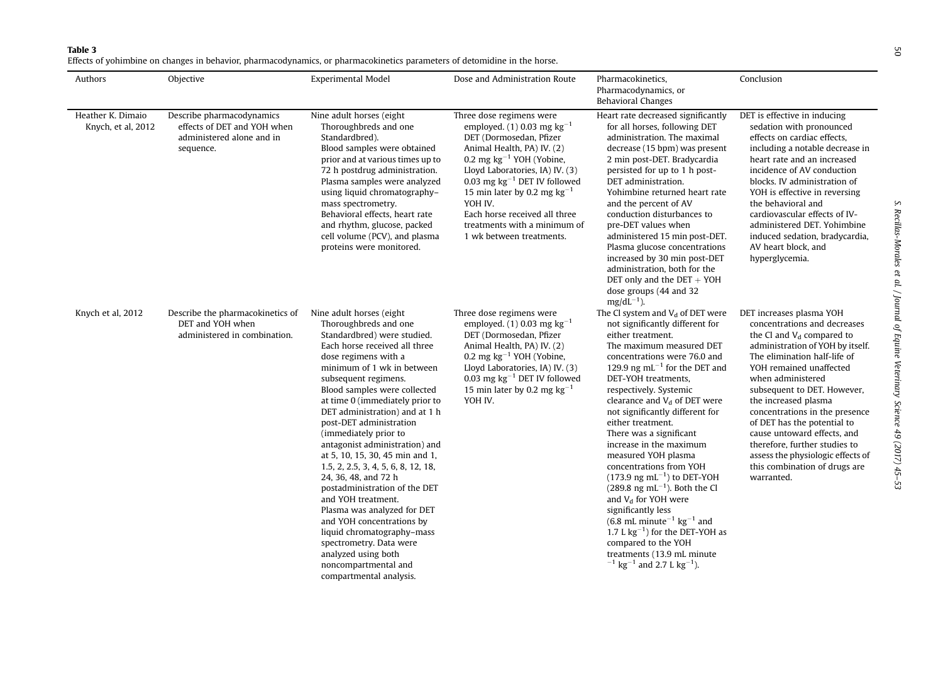## <span id="page-5-0"></span>Table 3

Effects of yohimbine on changes in behavior, pharmacodynamics, or pharmacokinetics parameters of detomidine in the horse.

| Authors                                 | Objective                                                                                          | <b>Experimental Model</b>                                                                                                                                                                                                                                                                                                                                                                                                                                                                                                                                                                                                                                                                                                                           | Dose and Administration Route                                                                                                                                                                                                                                                                                                                                             | Pharmacokinetics,<br>Pharmacodynamics, or<br><b>Behavioral Changes</b>                                                                                                                                                                                                                                                                                                                                                                                                                                                                                                                                                                                                                                                                                                                                                                            | Conclusion                                                                                                                                                                                                                                                                                                                                                                                                                                                                              |
|-----------------------------------------|----------------------------------------------------------------------------------------------------|-----------------------------------------------------------------------------------------------------------------------------------------------------------------------------------------------------------------------------------------------------------------------------------------------------------------------------------------------------------------------------------------------------------------------------------------------------------------------------------------------------------------------------------------------------------------------------------------------------------------------------------------------------------------------------------------------------------------------------------------------------|---------------------------------------------------------------------------------------------------------------------------------------------------------------------------------------------------------------------------------------------------------------------------------------------------------------------------------------------------------------------------|---------------------------------------------------------------------------------------------------------------------------------------------------------------------------------------------------------------------------------------------------------------------------------------------------------------------------------------------------------------------------------------------------------------------------------------------------------------------------------------------------------------------------------------------------------------------------------------------------------------------------------------------------------------------------------------------------------------------------------------------------------------------------------------------------------------------------------------------------|-----------------------------------------------------------------------------------------------------------------------------------------------------------------------------------------------------------------------------------------------------------------------------------------------------------------------------------------------------------------------------------------------------------------------------------------------------------------------------------------|
| Heather K. Dimaio<br>Knych, et al, 2012 | Describe pharmacodynamics<br>effects of DET and YOH when<br>administered alone and in<br>sequence. | Nine adult horses (eight<br>Thoroughbreds and one<br>Standardbred).<br>Blood samples were obtained<br>prior and at various times up to<br>72 h postdrug administration.<br>Plasma samples were analyzed<br>using liquid chromatography-<br>mass spectrometry.<br>Behavioral effects, heart rate<br>and rhythm, glucose, packed<br>cell volume (PCV), and plasma<br>proteins were monitored.                                                                                                                                                                                                                                                                                                                                                         | Three dose regimens were<br>employed, (1) 0.03 mg $kg^{-1}$<br>DET (Dormosedan, Pfizer<br>Animal Health, PA) IV. (2)<br>0.2 mg $kg^{-1}$ YOH (Yobine,<br>Lloyd Laboratories, IA) IV. (3)<br>0.03 mg $kg^{-1}$ DET IV followed<br>15 min later by 0.2 mg $kg^{-1}$<br>YOH IV.<br>Each horse received all three<br>treatments with a minimum of<br>1 wk between treatments. | Heart rate decreased significantly<br>for all horses, following DET<br>administration. The maximal<br>decrease (15 bpm) was present<br>2 min post-DET. Bradycardia<br>persisted for up to 1 h post-<br>DET administration.<br>Yohimbine returned heart rate<br>and the percent of AV<br>conduction disturbances to<br>pre-DET values when<br>administered 15 min post-DET.<br>Plasma glucose concentrations<br>increased by 30 min post-DET<br>administration, both for the<br>DET only and the $DET + YOH$<br>dose groups (44 and 32<br>$mg/dL^{-1}$ ).                                                                                                                                                                                                                                                                                          | DET is effective in inducing<br>sedation with pronounced<br>effects on cardiac effects,<br>including a notable decrease in<br>heart rate and an increased<br>incidence of AV conduction<br>blocks. IV administration of<br>YOH is effective in reversing<br>the behavioral and<br>cardiovascular effects of IV-<br>administered DET. Yohimbine<br>induced sedation, bradycardia,<br>AV heart block, and<br>hyperglycemia.                                                               |
| Knych et al, 2012                       | Describe the pharmacokinetics of<br>DET and YOH when<br>administered in combination.               | Nine adult horses (eight)<br>Thoroughbreds and one<br>Standardbred) were studied.<br>Each horse received all three<br>dose regimens with a<br>minimum of 1 wk in between<br>subsequent regimens.<br>Blood samples were collected<br>at time 0 (immediately prior to<br>DET administration) and at 1 h<br>post-DET administration<br>(immediately prior to<br>antagonist administration) and<br>at 5, 10, 15, 30, 45 min and 1,<br>1.5, 2, 2.5, 3, 4, 5, 6, 8, 12, 18,<br>24, 36, 48, and 72 h<br>postadministration of the DET<br>and YOH treatment.<br>Plasma was analyzed for DET<br>and YOH concentrations by<br>liquid chromatography-mass<br>spectrometry. Data were<br>analyzed using both<br>noncompartmental and<br>compartmental analysis. | Three dose regimens were<br>employed. (1) 0.03 mg $kg^{-1}$<br>DET (Dormosedan, Pfizer<br>Animal Health, PA) IV. (2)<br>0.2 mg $kg^{-1}$ YOH (Yobine,<br>Lloyd Laboratories, IA) IV. (3)<br>0.03 mg $kg^{-1}$ DET IV followed<br>15 min later by 0.2 mg $kg^{-1}$<br>YOH IV.                                                                                              | The Cl system and $V_d$ of DET were<br>not significantly different for<br>either treatment.<br>The maximum measured DET<br>concentrations were 76.0 and<br>129.9 ng mL <sup><math>-1</math></sup> for the DET and<br>DET-YOH treatments,<br>respectively. Systemic<br>clearance and $V_d$ of DET were<br>not significantly different for<br>either treatment.<br>There was a significant<br>increase in the maximum<br>measured YOH plasma<br>concentrations from YOH<br>$(173.9 \text{ ng } \text{mL}^{-1})$ to DET-YOH<br>$(289.8 \text{ ng } \text{mL}^{-1})$ . Both the Cl<br>and $V_d$ for YOH were<br>significantly less<br>$(6.8 \text{ mL minute}^{-1} \text{ kg}^{-1}$ and<br>1.7 L $\text{kg}^{-1}$ ) for the DET-YOH as<br>compared to the YOH<br>treatments (13.9 mL minute<br>$^{-1}$ kg <sup>-1</sup> and 2.7 L kg <sup>-1</sup> ). | DET increases plasma YOH<br>concentrations and decreases<br>the Cl and $Vd$ compared to<br>administration of YOH by itself.<br>The elimination half-life of<br>YOH remained unaffected<br>when administered<br>subsequent to DET. However,<br>the increased plasma<br>concentrations in the presence<br>of DET has the potential to<br>cause untoward effects, and<br>therefore, further studies to<br>assess the physiologic effects of<br>this combination of drugs are<br>warranted. |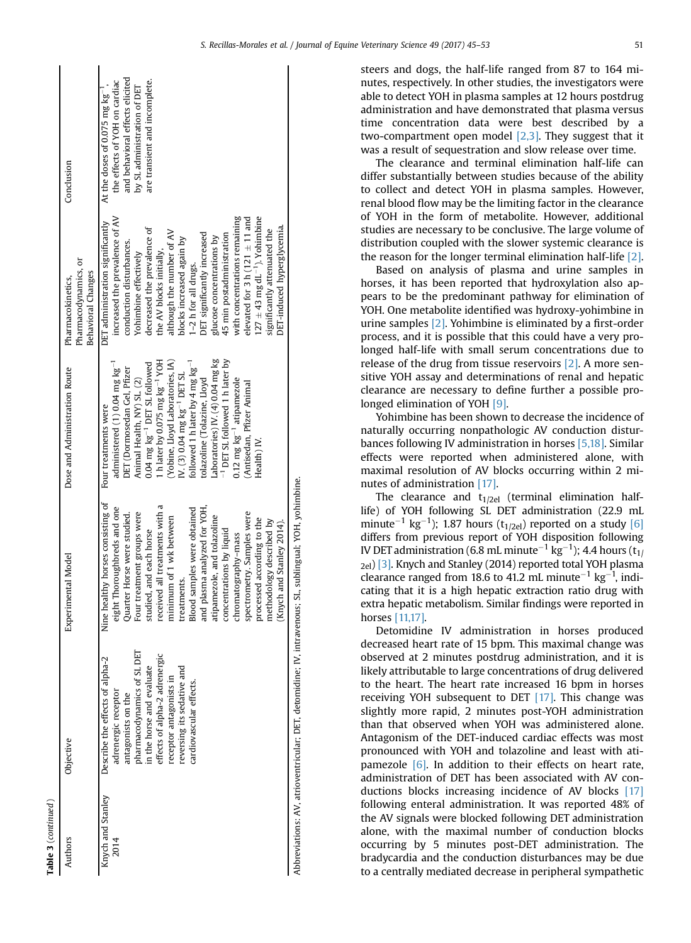| Authors                   | Objective                                                                                                                                                                                                                                                    | Experimental Model                                                                                                                                                                                                                                                                                                                                                                                                                                                                                         | Dose and Administration Route                                                                                                                                                                                                                                                                                                                                                                                                                                                                                                 | Pharmacodynamics, or<br>Behavioral Changes<br>Pharmacokinetics,                                                                                                                                                                                                                                                                                                                                                                                                                                                                                     | Conclusion                                                                                                                                                             |
|---------------------------|--------------------------------------------------------------------------------------------------------------------------------------------------------------------------------------------------------------------------------------------------------------|------------------------------------------------------------------------------------------------------------------------------------------------------------------------------------------------------------------------------------------------------------------------------------------------------------------------------------------------------------------------------------------------------------------------------------------------------------------------------------------------------------|-------------------------------------------------------------------------------------------------------------------------------------------------------------------------------------------------------------------------------------------------------------------------------------------------------------------------------------------------------------------------------------------------------------------------------------------------------------------------------------------------------------------------------|-----------------------------------------------------------------------------------------------------------------------------------------------------------------------------------------------------------------------------------------------------------------------------------------------------------------------------------------------------------------------------------------------------------------------------------------------------------------------------------------------------------------------------------------------------|------------------------------------------------------------------------------------------------------------------------------------------------------------------------|
| Knych and Stanley<br>2014 | pharmacodynamics of SL DET<br>effects of alpha-2 adrenergic<br>Describe the effects of alpha-2<br>in the horse and evaluate<br>reversing its sedative and<br>receptor antagonists in<br>cardiovascular effects.<br>adrenergic receptor<br>antagonists on the | Nine healthy horses consisting of<br>received all treatments with a<br>eight Thoroughbreds and one<br>and plasma analyzed for YOH,<br>Blood samples were obtained<br>spectrometry. Samples were<br>Four treatment groups were<br>Quarter Horse were studied.<br>atipamezole, and tolazoline<br>minimum of 1 wk between<br>processed according to the<br>methodology described by<br>(Knych and Stanley 2014).<br>concentrations by liquid<br>studied, and each horse<br>chromatography-mass<br>treatments. | Laboratories) IV. (4) 0.04 mg kg<br>(Yobine, Lloyd Laboratories, IA)<br>-1 DET SL followed 1 h later by<br>h later by 0.075 mg kg <sup>-1</sup> YOH<br>followed 1 h later by 4 mg $kg^{-1}$<br>administered $(1)$ 0.04 mg $kg^{-1}$<br>0.04 mg kg <sup>-1</sup> DET SL followed<br>DET (Dormosedan Gel, Pfizer<br>$V. (3) 0.04$ mg $kg^{-1}$ DET SL<br>$0.12$ mg $\text{kg}^{-1}$ atipamezole<br>Animal Health, NY) SL. (2)<br>tolazoline (Tolazine, Lloyd<br>Antisedan, Pfizer Animal<br>Four treatments were<br>Health) IV. | with concentrations remaining<br>increased the prevalence of AV<br>elevated for 3 h $(121 \pm 11$ and<br>$127 \pm 43$ mg dL <sup>-1</sup> ). Yohimbine<br>DET administration significantly<br>DET-induced hyperglycemia.<br>decreased the prevalence of<br>significantly attenuated the<br>although the number of AV<br>DET significantly increased<br>45 min postadministration<br>glucose concentrations by<br>blocks increased again by<br>conduction disturbances.<br>the AV blocks initially,<br>Yohimbine effectively<br>1-2 h for all drugs. | and behavioral effects elicited<br>are transient and incomplete.<br>the effects of YOH on cardiac<br>by SL administration of DET<br>At the doses of 0.075 mg $kg^{-1}$ |
|                           |                                                                                                                                                                                                                                                              | Abbreviations: AV, atrioventricular; DET, detomidine; IV, intravenous; SL, sublingual; YOH, yohimbine.                                                                                                                                                                                                                                                                                                                                                                                                     |                                                                                                                                                                                                                                                                                                                                                                                                                                                                                                                               |                                                                                                                                                                                                                                                                                                                                                                                                                                                                                                                                                     |                                                                                                                                                                        |

Table 3 (continued)

(continued )

The clearance and terminal elimination half-life can differ substantially between studies because of the ability to collect and detect YOH in plasma samples. However, renal blood flow may be the limiting factor in the clearance of YOH in the form of metabolite. However, additional studies are necessary to be conclusive. The large volume of distribution coupled with the slower systemic clearance is the reason for the longer terminal elimination half-life [\[2\]](#page-7-0).

Based on analysis of plasma and urine samples in horses, it has been reported that hydroxylation also appears to be the predominant pathway for elimination of YOH. One metabolite identified was hydroxy-yohimbine in urine samples [\[2\].](#page-7-0) Yohimbine is eliminated by a first-order process, and it is possible that this could have a very prolonged half-life with small serum concentrations due to release of the drug from tissue reservoirs [\[2\].](#page-7-0) A more sensitive YOH assay and determinations of renal and hepatic clearance are necessary to define further a possible prolonged elimination of YOH [\[9\].](#page-7-0)

Yohimbine has been shown to decrease the incidence of naturally occurring nonpathologic AV conduction disturbances following IV administration in horses [\[5,18\]](#page-7-0). Similar effects were reported when administered alone, with maximal resolution of AV blocks occurring within 2 minutes of administration [\[17\].](#page-8-0)

The clearance and  $t_{1/2el}$  (terminal elimination halflife) of YOH following SL DET administration (22.9 mL minute $^{-1}$  kg $^{-1}$ ); 1.87 hours (t<sub>1/2el</sub>) reported on a study [\[6\]](#page-7-0) differs from previous report of YOH disposition following IV DET administration (6.8 mL minute $^{-1}$  kg $^{-1}$ ); 4.4 hours (t $_{1/}$ <sub>2el</sub>) [\[3\].](#page-7-0) Knych and Stanley (2014) reported total YOH plasma clearance ranged from 18.6 to 41.2 mL minute<sup>-1</sup> kg<sup>-1</sup>, indicating that it is a high hepatic extraction ratio drug with extra hepatic metabolism. Similar findings were reported in horses [\[11,17\].](#page-7-0)

Detomidine IV administration in horses produced decreased heart rate of 15 bpm. This maximal change was observed at 2 minutes postdrug administration, and it is likely attributable to large concentrations of drug delivered to the heart. The heart rate increased 16 bpm in horses receiving YOH subsequent to DET [\[17\].](#page-8-0) This change was slightly more rapid, 2 minutes post-YOH administration than that observed when YOH was administered alone. Antagonism of the DET-induced cardiac effects was most pronounced with YOH and tolazoline and least with atipamezole  $[6]$ . In addition to their effects on heart rate, administration of DET has been associated with AV conductions blocks increasing incidence of AV blocks [\[17\]](#page-8-0) following enteral administration. It was reported 48% of the AV signals were blocked following DET administration alone, with the maximal number of conduction blocks occurring by 5 minutes post-DET administration. The bradycardia and the conduction disturbances may be due to a centrally mediated decrease in peripheral sympathetic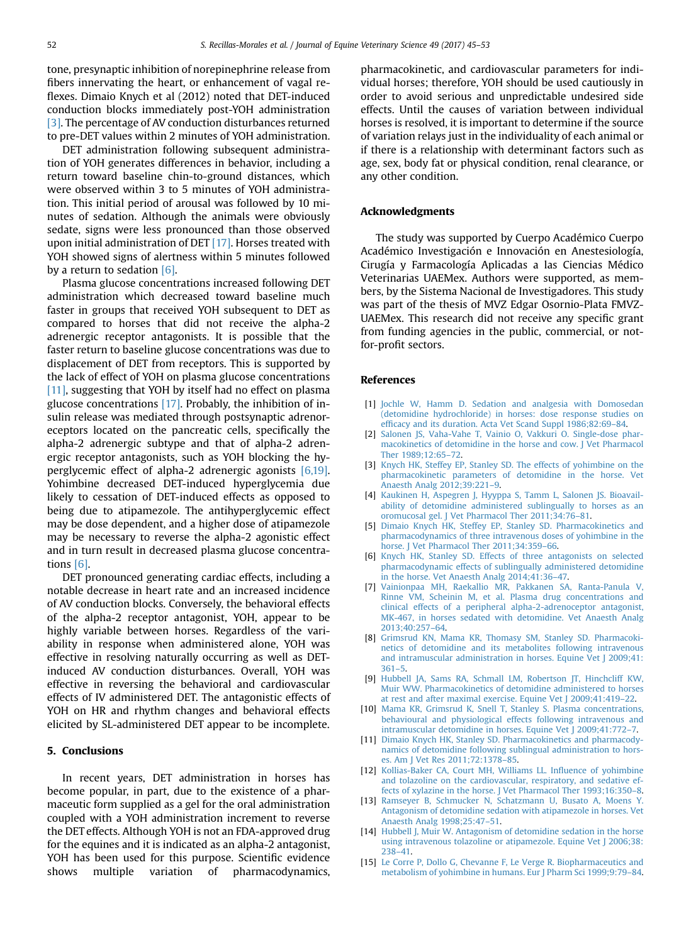<span id="page-7-0"></span>tone, presynaptic inhibition of norepinephrine release from fibers innervating the heart, or enhancement of vagal reflexes. Dimaio Knych et al (2012) noted that DET-induced conduction blocks immediately post-YOH administration [3]. The percentage of AV conduction disturbances returned to pre-DET values within 2 minutes of YOH administration.

DET administration following subsequent administration of YOH generates differences in behavior, including a return toward baseline chin-to-ground distances, which were observed within 3 to 5 minutes of YOH administration. This initial period of arousal was followed by 10 minutes of sedation. Although the animals were obviously sedate, signs were less pronounced than those observed upon initial administration of DET [\[17\]](#page-8-0). Horses treated with YOH showed signs of alertness within 5 minutes followed by a return to sedation  $[6]$ .

Plasma glucose concentrations increased following DET administration which decreased toward baseline much faster in groups that received YOH subsequent to DET as compared to horses that did not receive the alpha-2 adrenergic receptor antagonists. It is possible that the faster return to baseline glucose concentrations was due to displacement of DET from receptors. This is supported by the lack of effect of YOH on plasma glucose concentrations [11], suggesting that YOH by itself had no effect on plasma glucose concentrations [\[17\].](#page-8-0) Probably, the inhibition of insulin release was mediated through postsynaptic adrenoreceptors located on the pancreatic cells, specifically the alpha-2 adrenergic subtype and that of alpha-2 adrenergic receptor antagonists, such as YOH blocking the hyperglycemic effect of alpha-2 adrenergic agonists [6,19]. Yohimbine decreased DET-induced hyperglycemia due likely to cessation of DET-induced effects as opposed to being due to atipamezole. The antihyperglycemic effect may be dose dependent, and a higher dose of atipamezole may be necessary to reverse the alpha-2 agonistic effect and in turn result in decreased plasma glucose concentrations [6].

DET pronounced generating cardiac effects, including a notable decrease in heart rate and an increased incidence of AV conduction blocks. Conversely, the behavioral effects of the alpha-2 receptor antagonist, YOH, appear to be highly variable between horses. Regardless of the variability in response when administered alone, YOH was effective in resolving naturally occurring as well as DETinduced AV conduction disturbances. Overall, YOH was effective in reversing the behavioral and cardiovascular effects of IV administered DET. The antagonistic effects of YOH on HR and rhythm changes and behavioral effects elicited by SL-administered DET appear to be incomplete.

### 5. Conclusions

In recent years, DET administration in horses has become popular, in part, due to the existence of a pharmaceutic form supplied as a gel for the oral administration coupled with a YOH administration increment to reverse the DET effects. Although YOH is not an FDA-approved drug for the equines and it is indicated as an alpha-2 antagonist, YOH has been used for this purpose. Scientific evidence shows multiple variation of pharmacodynamics,

pharmacokinetic, and cardiovascular parameters for individual horses; therefore, YOH should be used cautiously in order to avoid serious and unpredictable undesired side effects. Until the causes of variation between individual horses is resolved, it is important to determine if the source of variation relays just in the individuality of each animal or if there is a relationship with determinant factors such as age, sex, body fat or physical condition, renal clearance, or any other condition.

#### Acknowledgments

The study was supported by Cuerpo Académico Cuerpo Académico Investigación e Innovación en Anestesiología, Cirugía y Farmacología Aplicadas a las Ciencias Médico Veterinarias UAEMex. Authors were supported, as members, by the Sistema Nacional de Investigadores. This study was part of the thesis of MVZ Edgar Osornio-Plata FMVZ-UAEMex. This research did not receive any specific grant from funding agencies in the public, commercial, or notfor-profit sectors.

#### References

- [1] [Jochle W, Hamm D. Sedation and analgesia with Domosedan](http://refhub.elsevier.com/S0737-0806(16)30556-1/sref1) [\(detomidine hydrochloride\) in horses: dose response studies on](http://refhub.elsevier.com/S0737-0806(16)30556-1/sref1) effi[cacy and its duration. Acta Vet Scand Suppl 1986;82:69](http://refhub.elsevier.com/S0737-0806(16)30556-1/sref1)–84.
- [2] Salonen JS, Vaha-Vahe T, Vainio O, Vakkuri O, Single-dose phar[macokinetics of detomidine in the horse and cow. J Vet Pharmacol](http://refhub.elsevier.com/S0737-0806(16)30556-1/sref2) [Ther 1989;12:65](http://refhub.elsevier.com/S0737-0806(16)30556-1/sref2)–72.
- [3] [Knych HK, Steffey EP, Stanley SD. The effects of yohimbine on the](http://refhub.elsevier.com/S0737-0806(16)30556-1/sref3) [pharmacokinetic parameters of detomidine in the horse. Vet](http://refhub.elsevier.com/S0737-0806(16)30556-1/sref3) [Anaesth Analg 2012;39:221](http://refhub.elsevier.com/S0737-0806(16)30556-1/sref3)–9.
- [4] [Kaukinen H, Aspegren J, Hyyppa S, Tamm L, Salonen JS. Bioavail](http://refhub.elsevier.com/S0737-0806(16)30556-1/sref4)[ability of detomidine administered sublingually to horses as an](http://refhub.elsevier.com/S0737-0806(16)30556-1/sref4) [oromucosal gel. J Vet Pharmacol Ther 2011;34:76](http://refhub.elsevier.com/S0737-0806(16)30556-1/sref4)–81.
- [5] [Dimaio Knych HK, Steffey EP, Stanley SD. Pharmacokinetics and](http://refhub.elsevier.com/S0737-0806(16)30556-1/sref5) [pharmacodynamics of three intravenous doses of yohimbine in the](http://refhub.elsevier.com/S0737-0806(16)30556-1/sref5) [horse. J Vet Pharmacol Ther 2011;34:359](http://refhub.elsevier.com/S0737-0806(16)30556-1/sref5)–66.
- [6] [Knych HK, Stanley SD. Effects of three antagonists on selected](http://refhub.elsevier.com/S0737-0806(16)30556-1/sref6) [pharmacodynamic effects of sublingually administered detomidine](http://refhub.elsevier.com/S0737-0806(16)30556-1/sref6) [in the horse. Vet Anaesth Analg 2014;41:36](http://refhub.elsevier.com/S0737-0806(16)30556-1/sref6)–47.
- [7] [Vainionpaa MH, Raekallio MR, Pakkanen SA, Ranta-Panula V,](http://refhub.elsevier.com/S0737-0806(16)30556-1/sref7) [Rinne VM, Scheinin M, et al. Plasma drug concentrations and](http://refhub.elsevier.com/S0737-0806(16)30556-1/sref7) [clinical effects of a peripheral alpha-2-adrenoceptor antagonist,](http://refhub.elsevier.com/S0737-0806(16)30556-1/sref7) [MK-467, in horses sedated with detomidine. Vet Anaesth Analg](http://refhub.elsevier.com/S0737-0806(16)30556-1/sref7) [2013;40:257](http://refhub.elsevier.com/S0737-0806(16)30556-1/sref7)–64.
- [8] [Grimsrud KN, Mama KR, Thomasy SM, Stanley SD. Pharmacoki](http://refhub.elsevier.com/S0737-0806(16)30556-1/sref8)[netics of detomidine and its metabolites following intravenous](http://refhub.elsevier.com/S0737-0806(16)30556-1/sref8) [and intramuscular administration in horses. Equine Vet J 2009;41:](http://refhub.elsevier.com/S0737-0806(16)30556-1/sref8) [361](http://refhub.elsevier.com/S0737-0806(16)30556-1/sref8)–5.
- [9] [Hubbell JA, Sams RA, Schmall LM, Robertson JT, Hinchcliff KW,](http://refhub.elsevier.com/S0737-0806(16)30556-1/sref9) [Muir WW. Pharmacokinetics of detomidine administered to horses](http://refhub.elsevier.com/S0737-0806(16)30556-1/sref9) [at rest and after maximal exercise. Equine Vet J 2009;41:419](http://refhub.elsevier.com/S0737-0806(16)30556-1/sref9)–22.
- [10] [Mama KR, Grimsrud K, Snell T, Stanley S. Plasma concentrations,](http://refhub.elsevier.com/S0737-0806(16)30556-1/sref10) [behavioural and physiological effects following intravenous and](http://refhub.elsevier.com/S0737-0806(16)30556-1/sref10) [intramuscular detomidine in horses. Equine Vet J 2009;41:772](http://refhub.elsevier.com/S0737-0806(16)30556-1/sref10)–7.
- [11] [Dimaio Knych HK, Stanley SD. Pharmacokinetics and pharmacody](http://refhub.elsevier.com/S0737-0806(16)30556-1/sref11)[namics of detomidine following sublingual administration to hors](http://refhub.elsevier.com/S0737-0806(16)30556-1/sref11)[es. Am J Vet Res 2011;72:1378](http://refhub.elsevier.com/S0737-0806(16)30556-1/sref11)–85.
- [12] [Kollias-Baker CA, Court MH, Williams LL. In](http://refhub.elsevier.com/S0737-0806(16)30556-1/sref12)fluence of yohimbine [and tolazoline on the cardiovascular, respiratory, and sedative ef](http://refhub.elsevier.com/S0737-0806(16)30556-1/sref12)[fects of xylazine in the horse. J Vet Pharmacol Ther 1993;16:350](http://refhub.elsevier.com/S0737-0806(16)30556-1/sref12)–8.
- [13] [Ramseyer B, Schmucker N, Schatzmann U, Busato A, Moens Y.](http://refhub.elsevier.com/S0737-0806(16)30556-1/sref13) [Antagonism of detomidine sedation with atipamezole in horses. Vet](http://refhub.elsevier.com/S0737-0806(16)30556-1/sref13) [Anaesth Analg 1998;25:47](http://refhub.elsevier.com/S0737-0806(16)30556-1/sref13)–51.
- [14] [Hubbell J, Muir W. Antagonism of detomidine sedation in the horse](http://refhub.elsevier.com/S0737-0806(16)30556-1/sref14) [using intravenous tolazoline or atipamezole. Equine Vet J 2006;38:](http://refhub.elsevier.com/S0737-0806(16)30556-1/sref14) [238](http://refhub.elsevier.com/S0737-0806(16)30556-1/sref14)–41.
- [15] [Le Corre P, Dollo G, Chevanne F, Le Verge R. Biopharmaceutics and](http://refhub.elsevier.com/S0737-0806(16)30556-1/sref15) [metabolism of yohimbine in humans. Eur J Pharm Sci 1999;9:79](http://refhub.elsevier.com/S0737-0806(16)30556-1/sref15)–84.